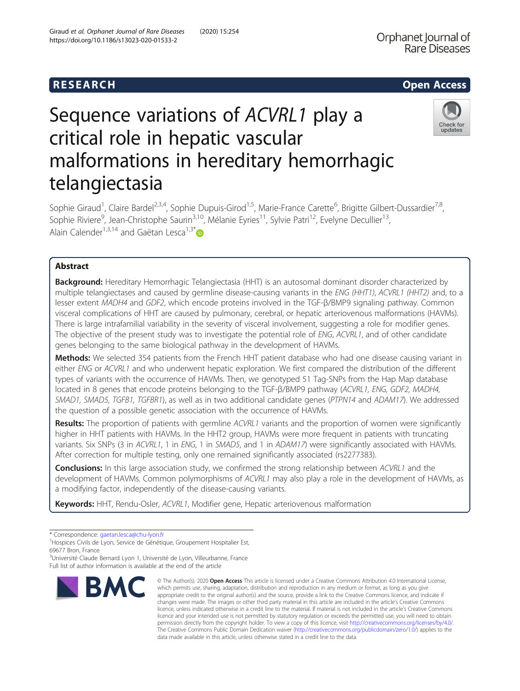# R E S EAR CH Open Access

## Orphanet Journal of **Rare Diseases**

Check for updates

# Sequence variations of ACVRL1 play a critical role in hepatic vascular malformations in hereditary hemorrhagic telangiectasia

Sophie Giraud<sup>1</sup>, Claire Bardel<sup>2,3,4</sup>, Sophie Dupuis-Girod<sup>1,5</sup>, Marie-France Carette<sup>6</sup>, Brigitte Gilbert-Dussardier<sup>7,8</sup>, Sophie Riviere<sup>9</sup>, Jean-Christophe Saurin<sup>3,10</sup>, Mélanie Eyries<sup>11</sup>, Sylvie Patri<sup>12</sup>, Evelyne Decullier<sup>13</sup>, Alain Calender<sup>1,3,14</sup> and Gaëtan Lesca<sup>1,3\*</sup>

### Abstract

Background: Hereditary Hemorrhagic Telangiectasia (HHT) is an autosomal dominant disorder characterized by multiple telangiectases and caused by germline disease-causing variants in the ENG (HHT1), ACVRL1 (HHT2) and, to a lesser extent MADH4 and GDF2, which encode proteins involved in the TGF-β/BMP9 signaling pathway. Common visceral complications of HHT are caused by pulmonary, cerebral, or hepatic arteriovenous malformations (HAVMs). There is large intrafamilial variability in the severity of visceral involvement, suggesting a role for modifier genes. The objective of the present study was to investigate the potential role of ENG, ACVRL1, and of other candidate genes belonging to the same biological pathway in the development of HAVMs.

Methods: We selected 354 patients from the French HHT patient database who had one disease causing variant in either ENG or ACVRL1 and who underwent hepatic exploration. We first compared the distribution of the different types of variants with the occurrence of HAVMs. Then, we genotyped 51 Tag-SNPs from the Hap Map database located in 8 genes that encode proteins belonging to the TGF-β/BMP9 pathway (ACVRL1, ENG, GDF2, MADH4, SMAD1, SMAD5, TGFB1, TGFBR1), as well as in two additional candidate genes (PTPN14 and ADAM17). We addressed the question of a possible genetic association with the occurrence of HAVMs.

Results: The proportion of patients with germline ACVRL1 variants and the proportion of women were significantly higher in HHT patients with HAVMs. In the HHT2 group, HAVMs were more frequent in patients with truncating variants. Six SNPs (3 in ACVRL1, 1 in ENG, 1 in SMAD5, and 1 in ADAM17) were significantly associated with HAVMs. After correction for multiple testing, only one remained significantly associated (rs2277383).

Conclusions: In this large association study, we confirmed the strong relationship between ACVRL1 and the development of HAVMs. Common polymorphisms of ACVRL1 may also play a role in the development of HAVMs, as a modifying factor, independently of the disease-causing variants.

Keywords: HHT, Rendu-Osler, ACVRL1, Modifier gene, Hepatic arteriovenous malformation

<sup>3</sup>Université Claude Bernard Lyon 1, Université de Lyon, Villeurbanne, France Full list of author information is available at the end of the article



<sup>©</sup> The Author(s), 2020 **Open Access** This article is licensed under a Creative Commons Attribution 4.0 International License, which permits use, sharing, adaptation, distribution and reproduction in any medium or format, as long as you give appropriate credit to the original author(s) and the source, provide a link to the Creative Commons licence, and indicate if changes were made. The images or other third party material in this article are included in the article's Creative Commons licence, unless indicated otherwise in a credit line to the material. If material is not included in the article's Creative Commons licence and your intended use is not permitted by statutory regulation or exceeds the permitted use, you will need to obtain permission directly from the copyright holder. To view a copy of this licence, visit [http://creativecommons.org/licenses/by/4.0/.](http://creativecommons.org/licenses/by/4.0/) The Creative Commons Public Domain Dedication waiver [\(http://creativecommons.org/publicdomain/zero/1.0/](http://creativecommons.org/publicdomain/zero/1.0/)) applies to the data made available in this article, unless otherwise stated in a credit line to the data.

<sup>\*</sup> Correspondence: [gaetan.lesca@chu-lyon.fr](mailto:gaetan.lesca@chu-lyon.fr) <sup>1</sup>

<sup>&</sup>lt;sup>1</sup>Hospices Civils de Lyon, Service de Génétique, Groupement Hospitalier Est, 69677 Bron, France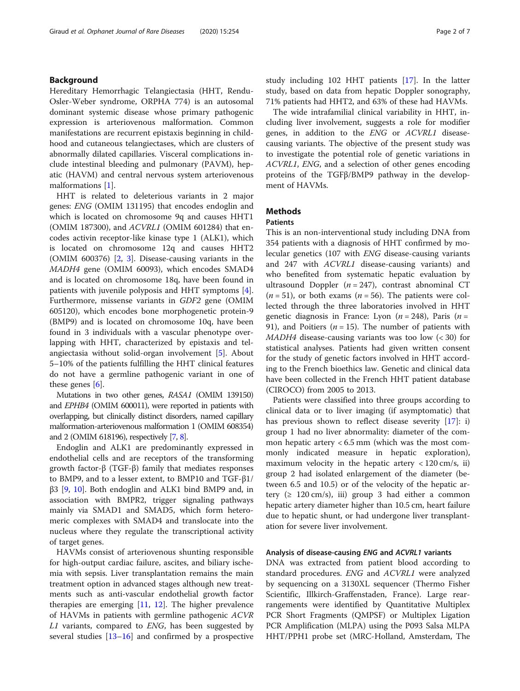#### Background

Hereditary Hemorrhagic Telangiectasia (HHT, Rendu-Osler-Weber syndrome, ORPHA 774) is an autosomal dominant systemic disease whose primary pathogenic expression is arteriovenous malformation. Common manifestations are recurrent epistaxis beginning in childhood and cutaneous telangiectases, which are clusters of abnormally dilated capillaries. Visceral complications include intestinal bleeding and pulmonary (PAVM), hepatic (HAVM) and central nervous system arteriovenous malformations [\[1](#page-5-0)].

HHT is related to deleterious variants in 2 major genes: ENG (OMIM 131195) that encodes endoglin and which is located on chromosome 9q and causes HHT1 (OMIM 187300), and ACVRL1 (OMIM 601284) that encodes activin receptor-like kinase type 1 (ALK1), which is located on chromosome 12q and causes HHT2 (OMIM 600376) [[2,](#page-5-0) [3](#page-6-0)]. Disease-causing variants in the MADH4 gene (OMIM 60093), which encodes SMAD4 and is located on chromosome 18q, have been found in patients with juvenile polyposis and HHT symptoms [\[4](#page-6-0)]. Furthermore, missense variants in GDF2 gene (OMIM 605120), which encodes bone morphogenetic protein-9 (BMP9) and is located on chromosome 10q, have been found in 3 individuals with a vascular phenotype overlapping with HHT, characterized by epistaxis and telangiectasia without solid-organ involvement [\[5](#page-6-0)]. About 5–10% of the patients fulfilling the HHT clinical features do not have a germline pathogenic variant in one of these genes [[6](#page-6-0)].

Mutations in two other genes, RASA1 (OMIM 139150) and EPHB4 (OMIM 600011), were reported in patients with overlapping, but clinically distinct disorders, named capillary malformation-arteriovenous malformation 1 (OMIM 608354) and 2 (OMIM 618196), respectively [\[7,](#page-6-0) [8\]](#page-6-0).

Endoglin and ALK1 are predominantly expressed in endothelial cells and are receptors of the transforming growth factor-β (TGF-β) family that mediates responses to BMP9, and to a lesser extent, to BMP10 and TGF-β1/ β3 [\[9](#page-6-0), [10\]](#page-6-0). Both endoglin and ALK1 bind BMP9 and, in association with BMPR2, trigger signaling pathways mainly via SMAD1 and SMAD5, which form heteromeric complexes with SMAD4 and translocate into the nucleus where they regulate the transcriptional activity of target genes.

HAVMs consist of arteriovenous shunting responsible for high-output cardiac failure, ascites, and biliary ischemia with sepsis. Liver transplantation remains the main treatment option in advanced stages although new treatments such as anti-vascular endothelial growth factor therapies are emerging [\[11](#page-6-0), [12\]](#page-6-0). The higher prevalence of HAVMs in patients with germline pathogenic ACVR  $L1$  variants, compared to  $ENG$ , has been suggested by several studies [\[13](#page-6-0)–[16\]](#page-6-0) and confirmed by a prospective study including 102 HHT patients [[17\]](#page-6-0). In the latter study, based on data from hepatic Doppler sonography, 71% patients had HHT2, and 63% of these had HAVMs.

The wide intrafamilial clinical variability in HHT, including liver involvement, suggests a role for modifier genes, in addition to the ENG or ACVRL1 diseasecausing variants. The objective of the present study was to investigate the potential role of genetic variations in ACVRL1, ENG, and a selection of other genes encoding proteins of the TGFβ/BMP9 pathway in the development of HAVMs.

#### **Methods**

#### Patients

This is an non-interventional study including DNA from 354 patients with a diagnosis of HHT confirmed by molecular genetics (107 with ENG disease-causing variants and 247 with ACVRL1 disease-causing variants) and who benefited from systematic hepatic evaluation by ultrasound Doppler  $(n = 247)$ , contrast abnominal CT  $(n = 51)$ , or both exams  $(n = 56)$ . The patients were collected through the three laboratories involved in HHT genetic diagnosis in France: Lyon ( $n = 248$ ), Paris ( $n =$ 91), and Poitiers ( $n = 15$ ). The number of patients with MADH4 disease-causing variants was too low (< 30) for statistical analyses. Patients had given written consent for the study of genetic factors involved in HHT according to the French bioethics law. Genetic and clinical data have been collected in the French HHT patient database (CIROCO) from 2005 to 2013.

Patients were classified into three groups according to clinical data or to liver imaging (if asymptomatic) that has previous shown to reflect disease severity [\[17](#page-6-0)]: i) group 1 had no liver abnormality: diameter of the common hepatic artery  $< 6.5$  mm (which was the most commonly indicated measure in hepatic exploration), maximum velocity in the hepatic artery  $< 120$  cm/s, ii) group 2 had isolated enlargement of the diameter (between 6.5 and 10.5) or of the velocity of the hepatic artery  $( \geq 120 \text{ cm/s})$ , iii) group 3 had either a common hepatic artery diameter higher than 10.5 cm, heart failure due to hepatic shunt, or had undergone liver transplantation for severe liver involvement.

#### Analysis of disease-causing ENG and ACVRL1 variants

DNA was extracted from patient blood according to standard procedures. ENG and ACVRL1 were analyzed by sequencing on a 3130XL sequencer (Thermo Fisher Scientific, Illkirch-Graffenstaden, France). Large rearrangements were identified by Quantitative Multiplex PCR Short Fragments (QMPSF) or Multiplex Ligation PCR Amplification (MLPA) using the P093 Salsa MLPA HHT/PPH1 probe set (MRC-Holland, Amsterdam, The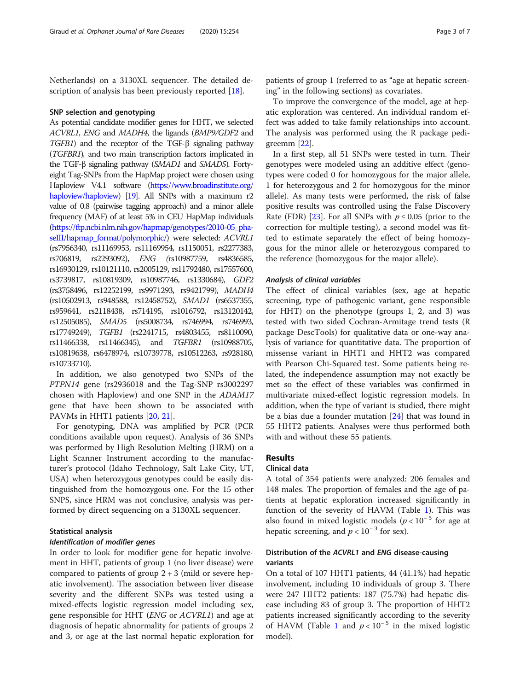Netherlands) on a 3130XL sequencer. The detailed de-scription of analysis has been previously reported [[18\]](#page-6-0).

#### SNP selection and genotyping

As potential candidate modifier genes for HHT, we selected ACVRL1, ENG and MADH4, the ligands (BMP9/GDF2 and TGFB1) and the receptor of the TGF-<sup>β</sup> signaling pathway (TGFBR1), and two main transcription factors implicated in the TGF-<sup>β</sup> signaling pathway (SMAD1 and SMAD5). Fortyeight Tag-SNPs from the HapMap project were chosen using Haploview V4.1 software [\(https://www.broadinstitute.org/](https://www.broadinstitute.org/haploview/haploview) [haploview/haploview](https://www.broadinstitute.org/haploview/haploview)) [\[19](#page-6-0)]. All SNPs with a maximum r2 value of 0.8 (pairwise tagging approach) and a minor allele frequency (MAF) of at least 5% in CEU HapMap individuals ([https://ftp.ncbi.nlm.nih.gov/hapmap/genotypes/2010-05\\_pha](https://ftp.ncbi.nlm.nih.gov/hapmap/genotypes/2010-05_phaseIII/hapmap_format/polymorphic/)[seIII/hapmap\\_format/polymorphic/\)](https://ftp.ncbi.nlm.nih.gov/hapmap/genotypes/2010-05_phaseIII/hapmap_format/polymorphic/) were selected: ACVRL1 (rs7956340, rs11169953, rs11169954, rs1150051, rs2277383, rs706819, rs2293092), ENG (rs10987759, rs4836585, rs16930129, rs10121110, rs2005129, rs11792480, rs17557600, rs3739817, rs10819309, rs10987746, rs1330684), GDF2 (rs3758496, rs12252199, rs9971293, rs9421799), MADH4 (rs10502913, rs948588, rs12458752), SMAD1 (rs6537355, rs959641, rs2118438, rs714195, rs1016792, rs13120142, rs12505085), SMAD5 (rs5008734, rs746994, rs746993, rs17749249), TGFB1 (rs2241715, rs4803455, rs8110090, rs11466338, rs11466345), and TGFBR1 (rs10988705, rs10819638, rs6478974, rs10739778, rs10512263, rs928180, rs10733710).

In addition, we also genotyped two SNPs of the PTPN14 gene (rs2936018 and the Tag-SNP rs3002297 chosen with Haploview) and one SNP in the ADAM17 gene that have been shown to be associated with PAVMs in HHT1 patients [\[20](#page-6-0), [21](#page-6-0)].

For genotyping, DNA was amplified by PCR (PCR conditions available upon request). Analysis of 36 SNPs was performed by High Resolution Melting (HRM) on a Light Scanner Instrument according to the manufacturer's protocol (Idaho Technology, Salt Lake City, UT, USA) when heterozygous genotypes could be easily distinguished from the homozygous one. For the 15 other SNPS, since HRM was not conclusive, analysis was performed by direct sequencing on a 3130XL sequencer.

#### Statistical analysis

#### Identification of modifier genes

In order to look for modifier gene for hepatic involvement in HHT, patients of group 1 (no liver disease) were compared to patients of group  $2 + 3$  (mild or severe hepatic involvement). The association between liver disease severity and the different SNPs was tested using a mixed-effects logistic regression model including sex, gene responsible for HHT (ENG or ACVRL1) and age at diagnosis of hepatic abnormality for patients of groups 2 and 3, or age at the last normal hepatic exploration for patients of group 1 (referred to as "age at hepatic screening" in the following sections) as covariates.

To improve the convergence of the model, age at hepatic exploration was centered. An individual random effect was added to take family relationships into account. The analysis was performed using the R package pedigreemm [\[22](#page-6-0)].

In a first step, all 51 SNPs were tested in turn. Their genotypes were modeled using an additive effect (genotypes were coded 0 for homozygous for the major allele, 1 for heterozygous and 2 for homozygous for the minor allele). As many tests were performed, the risk of false positive results was controlled using the False Discovery Rate (FDR) [\[23](#page-6-0)]. For all SNPs with  $p \le 0.05$  (prior to the correction for multiple testing), a second model was fitted to estimate separately the effect of being homozygous for the minor allele or heterozygous compared to the reference (homozygous for the major allele).

#### Analysis of clinical variables

The effect of clinical variables (sex, age at hepatic screening, type of pathogenic variant, gene responsible for HHT) on the phenotype (groups 1, 2, and 3) was tested with two sided Cochran-Armitage trend tests (R package DescTools) for qualitative data or one-way analysis of variance for quantitative data. The proportion of missense variant in HHT1 and HHT2 was compared with Pearson Chi-Squared test. Some patients being related, the independence assumption may not exactly be met so the effect of these variables was confirmed in multivariate mixed-effect logistic regression models. In addition, when the type of variant is studied, there might be a bias due a founder mutation  $[24]$  $[24]$  that was found in 55 HHT2 patients. Analyses were thus performed both with and without these 55 patients.

#### Results

#### Clinical data

A total of 354 patients were analyzed: 206 females and 148 males. The proportion of females and the age of patients at hepatic exploration increased significantly in function of the severity of HAVM (Table [1](#page-3-0)). This was also found in mixed logistic models ( $p < 10^{-5}$  for age at hepatic screening, and  $p < 10^{-3}$  for sex).

#### Distribution of the ACVRL1 and ENG disease-causing variants

On a total of 107 HHT1 patients, 44 (41.1%) had hepatic involvement, including 10 individuals of group 3. There were 247 HHT2 patients: 187 (75.7%) had hepatic disease including 83 of group 3. The proportion of HHT2 patients increased significantly according to the severity of HAVM (Table [1](#page-3-0) and  $p < 10^{-5}$  in the mixed logistic model).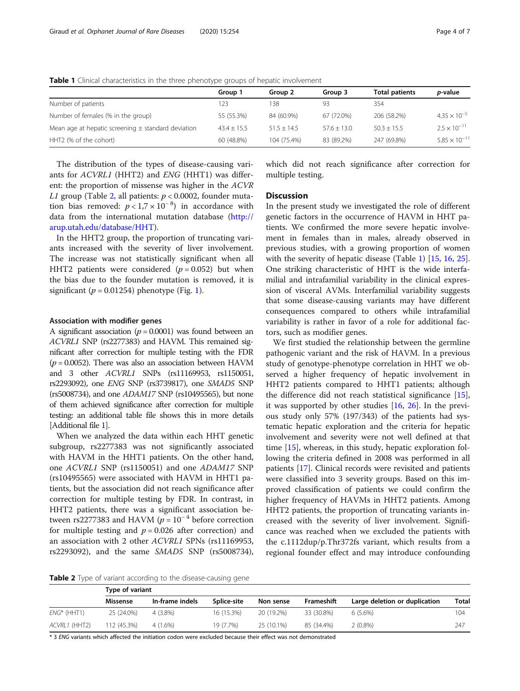|                                                        | Group 1       | Group 2       | Group 3       | <b>Total patients</b> | <i>p</i> -value        |
|--------------------------------------------------------|---------------|---------------|---------------|-----------------------|------------------------|
| Number of patients                                     | 123           | 138           | 93            | 354                   |                        |
| Number of females (% in the group)                     | 55 (55.3%)    | 84 (60.9%)    | 67 (72.0%)    | 206 (58.2%)           | $4.35 \times 10^{-5}$  |
| Mean age at hepatic screening $\pm$ standard deviation | $43.4 + 15.5$ | $51.5 + 14.5$ | $57.6 + 13.0$ | $50.3 + 15.5$         | $2.5 \times 10^{-11}$  |
| HHT2 (% of the cohort)                                 | 60 (48.8%)    | 104 (75.4%)   | 83 (89.2%)    | 247 (69.8%)           | $5.85 \times 10^{-11}$ |

<span id="page-3-0"></span>Table 1 Clinical characteristics in the three phenotype groups of hepatic involvement

The distribution of the types of disease-causing variants for ACVRL1 (HHT2) and ENG (HHT1) was different: the proportion of missense was higher in the *ACVR L1* group (Table 2, all patients:  $p < 0.0002$ , founder muta-*L1* group (Table 2, all patients:  $p < 0.0002$ , founder muta-<br>tion, bias, removed:  $p < 1.7 \times 10^{-8}$ ), in accordance, with tion bias removed:  $p < 1.7 \times 10^{-8}$ ) in accordance with data from the international mutation database (http:// data from the international mutation database [\(http://](http://arup.utah.edu/database/HHT) [arup.utah.edu/database/HHT](http://arup.utah.edu/database/HHT)).

In the HHT2 group, the proportion of truncating variants increased with the severity of liver involvement. The increase was not statistically significant when all HHT2 patients were considered ( $p = 0.052$ ) but when the bias due to the founder mutation is removed, it is significant ( $p = 0.01254$  $p = 0.01254$  $p = 0.01254$ ) phenotype (Fig. 1).

#### Association with modifier genes

A significant association ( $p = 0.0001$ ) was found between an ACVRL1 SNP (rs2277383) and HAVM. This remained significant after correction for multiple testing with the FDR  $(p = 0.0052)$ . There was also an association between HAVM and 3 other ACVRL1 SNPs (rs11169953, rs1150051, rs2293092), one ENG SNP (rs3739817), one SMAD5 SNP (rs5008734), and one ADAM17 SNP (rs10495565), but none of them achieved significance after correction for multiple testing: an additional table file shows this in more details [Additional file [1\]](#page-5-0).

When we analyzed the data within each HHT genetic subgroup, rs2277383 was not significantly associated with HAVM in the HHT1 patients. On the other hand, one ACVRL1 SNP (rs1150051) and one ADAM17 SNP (rs10495565) were associated with HAVM in HHT1 patients, but the association did not reach significance after correction for multiple testing by FDR. In contrast, in HHT2 patients, there was a significant association between rs2277383 and HAVM ( $p = 10^{-4}$  before correction for multiple testing and  $p = 0.026$  after correction) and an association with 2 other ACVRL1 SPNs (rs11169953, rs2293092), and the same SMAD5 SNP (rs5008734), which did not reach significance after correction for multiple testing.

#### **Discussion**

In the present study we investigated the role of different genetic factors in the occurrence of HAVM in HHT patients. We confirmed the more severe hepatic involvement in females than in males, already observed in previous studies, with a growing proportion of women with the severity of hepatic disease (Table 1) [[15](#page-6-0), [16](#page-6-0), [25](#page-6-0)]. One striking characteristic of HHT is the wide interfamilial and intrafamilial variability in the clinical expression of visceral AVMs. Interfamilial variability suggests that some disease-causing variants may have different consequences compared to others while intrafamilial variability is rather in favor of a role for additional factors, such as modifier genes.

We first studied the relationship between the germline pathogenic variant and the risk of HAVM. In a previous study of genotype-phenotype correlation in HHT we observed a higher frequency of hepatic involvement in HHT2 patients compared to HHT1 patients; although the difference did not reach statistical significance [\[15](#page-6-0)], it was supported by other studies [\[16](#page-6-0), [26\]](#page-6-0). In the previous study only 57% (197/343) of the patients had systematic hepatic exploration and the criteria for hepatic involvement and severity were not well defined at that time [\[15](#page-6-0)], whereas, in this study, hepatic exploration following the criteria defined in 2008 was performed in all patients [\[17\]](#page-6-0). Clinical records were revisited and patients were classified into 3 severity groups. Based on this improved classification of patients we could confirm the higher frequency of HAVMs in HHT2 patients. Among HHT2 patients, the proportion of truncating variants increased with the severity of liver involvement. Significance was reached when we excluded the patients with the c.1112dup/p.Thr372fs variant, which results from a regional founder effect and may introduce confounding

Table 2 Type of variant according to the disease-causing gene

|                | Type of variant |                 |             |            |            |                               |              |  |  |  |
|----------------|-----------------|-----------------|-------------|------------|------------|-------------------------------|--------------|--|--|--|
|                | Missense        | In-frame indels | Splice-site | Non sense  | Frameshift | Large deletion or duplication | <b>Total</b> |  |  |  |
| $ENG^*$ (HHT1) | 25 (24.0%)      | 4 (3.8%)        | 16 (15.3%)  | 20 (19.2%) | 33 (30.8%) | $6(5.6\%)$                    | 104          |  |  |  |
| ACVRL1 (HHT2)  | 112 (45.3%)     | 4 (1.6%)        | 19 (7.7%)   | 25 (10.1%) | 85 (34.4%) | 2 (0.8%)                      | 247          |  |  |  |

\* 3 ENG variants which affected the initiation codon were excluded because their effect was not demonstrated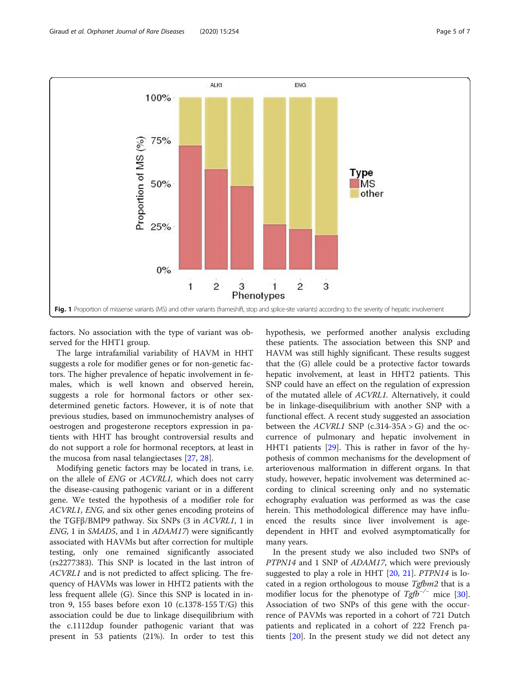<span id="page-4-0"></span>

factors. No association with the type of variant was observed for the HHT1 group.

The large intrafamilial variability of HAVM in HHT suggests a role for modifier genes or for non-genetic factors. The higher prevalence of hepatic involvement in females, which is well known and observed herein, suggests a role for hormonal factors or other sexdetermined genetic factors. However, it is of note that previous studies, based on immunochemistry analyses of oestrogen and progesterone receptors expression in patients with HHT has brought controversial results and do not support a role for hormonal receptors, at least in the mucosa from nasal telangiectases [[27](#page-6-0), [28](#page-6-0)].

Modifying genetic factors may be located in trans, i.e. on the allele of ENG or ACVRL1, which does not carry the disease-causing pathogenic variant or in a different gene. We tested the hypothesis of a modifier role for ACVRL1, ENG, and six other genes encoding proteins of the TGFβ/BMP9 pathway. Six SNPs (3 in ACVRL1, 1 in ENG, 1 in SMAD5, and 1 in ADAM17) were significantly associated with HAVMs but after correction for multiple testing, only one remained significantly associated (rs2277383). This SNP is located in the last intron of ACVRL1 and is not predicted to affect splicing. The frequency of HAVMs was lower in HHT2 patients with the less frequent allele (G). Since this SNP is located in intron 9, 155 bases before exon 10 (c.1378-155  $T/G$ ) this association could be due to linkage disequilibrium with the c.1112dup founder pathogenic variant that was present in 53 patients (21%). In order to test this hypothesis, we performed another analysis excluding these patients. The association between this SNP and HAVM was still highly significant. These results suggest that the (G) allele could be a protective factor towards hepatic involvement, at least in HHT2 patients. This SNP could have an effect on the regulation of expression of the mutated allele of ACVRL1. Alternatively, it could be in linkage-disequilibrium with another SNP with a functional effect. A recent study suggested an association between the  $ACVRL1$  SNP (c.314-35A > G) and the occurrence of pulmonary and hepatic involvement in HHT1 patients [[29](#page-6-0)]. This is rather in favor of the hypothesis of common mechanisms for the development of arteriovenous malformation in different organs. In that study, however, hepatic involvement was determined according to clinical screening only and no systematic echography evaluation was performed as was the case herein. This methodological difference may have influenced the results since liver involvement is agedependent in HHT and evolved asymptomatically for many years.

In the present study we also included two SNPs of PTPN14 and 1 SNP of ADAM17, which were previously suggested to play a role in HHT [[20,](#page-6-0) [21](#page-6-0)]. PTPN14 is located in a region orthologous to mouse Tgfbm2 that is a modifier locus for the phenotype of  $Tgfb^{-/-}$  mice [\[30](#page-6-0)]. Association of two SNPs of this gene with the occurrence of PAVMs was reported in a cohort of 721 Dutch patients and replicated in a cohort of 222 French patients [[20](#page-6-0)]. In the present study we did not detect any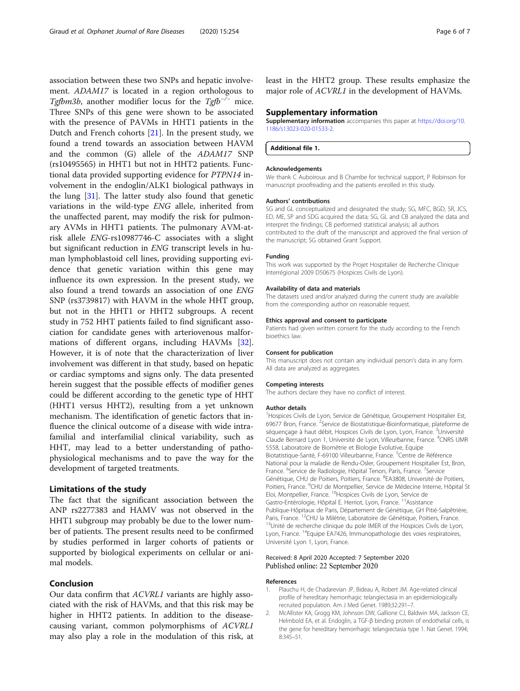<span id="page-5-0"></span>association between these two SNPs and hepatic involvement. ADAM17 is located in a region orthologous to Tgfbm3b, another modifier locus for the  $Tgfb^{-/-}$  mice. Three SNPs of this gene were shown to be associated with the presence of PAVMs in HHT1 patients in the Dutch and French cohorts [\[21](#page-6-0)]. In the present study, we found a trend towards an association between HAVM and the common (G) allele of the ADAM17 SNP (rs10495565) in HHT1 but not in HHT2 patients. Functional data provided supporting evidence for PTPN14 involvement in the endoglin/ALK1 biological pathways in the lung [[31\]](#page-6-0). The latter study also found that genetic variations in the wild-type ENG allele, inherited from the unaffected parent, may modify the risk for pulmonary AVMs in HHT1 patients. The pulmonary AVM-atrisk allele ENG-rs10987746-C associates with a slight but significant reduction in ENG transcript levels in human lymphoblastoid cell lines, providing supporting evidence that genetic variation within this gene may influence its own expression. In the present study, we also found a trend towards an association of one ENG SNP (rs3739817) with HAVM in the whole HHT group, but not in the HHT1 or HHT2 subgroups. A recent study in 752 HHT patients failed to find significant association for candidate genes with arteriovenous malformations of different organs, including HAVMs [\[32](#page-6-0)]. However, it is of note that the characterization of liver involvement was different in that study, based on hepatic or cardiac symptoms and signs only. The data presented herein suggest that the possible effects of modifier genes could be different according to the genetic type of HHT (HHT1 versus HHT2), resulting from a yet unknown mechanism. The identification of genetic factors that influence the clinical outcome of a disease with wide intrafamilial and interfamilial clinical variability, such as HHT, may lead to a better understanding of pathophysiological mechanisms and to pave the way for the development of targeted treatments.

#### Limitations of the study

The fact that the significant association between the ANP rs2277383 and HAMV was not observed in the HHT1 subgroup may probably be due to the lower number of patients. The present results need to be confirmed by studies performed in larger cohorts of patients or supported by biological experiments on cellular or animal models.

#### Conclusion

Our data confirm that ACVRL1 variants are highly associated with the risk of HAVMs, and that this risk may be higher in HHT2 patients. In addition to the diseasecausing variant, common polymorphisms of ACVRL1 may also play a role in the modulation of this risk, at least in the HHT2 group. These results emphasize the major role of ACVRL1 in the development of HAVMs.

#### Supplementary information

Supplementary information accompanies this paper at [https://doi.org/10.](https://doi.org/10.1186/s13023-020-01533-2) [1186/s13023-020-01533-2](https://doi.org/10.1186/s13023-020-01533-2).

Additional file 1.

#### Acknowledgements

We thank C Auboiroux and B Chambe for technical support, P Robinson for manuscript proofreading and the patients enrolled in this study.

#### Authors' contributions

SG and GL conceptualized and designated the study; SG, MFC, BGD, SR, JCS, ED, ME, SP and SDG acquired the data; SG, GL and CB analyzed the data and interpret the findings; CB performed statistical analysis; all authors contributed to the draft of the manuscript and approved the final version of the manuscript; SG obtained Grant Support.

#### Funding

This work was supported by the Projet Hospitalier de Recherche Clinique Interrégional 2009 D50675 (Hospices Civils de Lyon).

#### Availability of data and materials

The datasets used and/or analyzed during the current study are available from the corresponding author on reasonable request.

#### Ethics approval and consent to participate

Patients had given written consent for the study according to the French bioethics law.

#### Consent for publication

This manuscript does not contain any individual person's data in any form. All data are analyzed as aggregates.

#### Competing interests

The authors declare they have no conflict of interest.

#### Author details

<sup>1</sup>Hospices Civils de Lyon, Service de Génétique, Groupement Hospitalier Est 69677 Bron, France. <sup>2</sup>Service de Biostatistique-Bioinformatique, plateforme de séquençage à haut débit, Hospices Civils de Lyon, Lyon, France. <sup>3</sup>Université Claude Bernard Lyon 1, Université de Lyon, Villeurbanne, France. <sup>4</sup>CNRS UMF 5558, Laboratoire de Biométrie et Biologie Evolutive, Equipe Biotatistique-Santé, F-69100 Villeurbanne, France. <sup>5</sup>Centre de Référence National pour la maladie de Rendu-Osler, Groupement Hospitalier Est, Bron, France. <sup>6</sup>Service de Radiologie, Hôpital Tenon, Paris, France. <sup>7</sup>Service Génétique, CHU de Poitiers, Poitiers, France. <sup>8</sup>EA3808, Université de Poitiers, Poitiers, France. <sup>9</sup>CHU de Montpellier, Service de Médecine Interne, Hôpital St Eloi, Montpellier, France. 10Hospices Civils de Lyon, Service de Gastro-Entérologie, Hôpital E. Herriot, Lyon, France. <sup>11</sup>Assistance Publique-Hôpitaux de Paris, Département de Génétique, GH Pitié-Salpêtrière, Paris, France. <sup>12</sup>CHU la Milétrie, Laboratoire de Génétique, Poitiers, France.<br><sup>13</sup>Unité de recherche clinique du pole IMER of the Hospices Civils de Lyon, Lyon, France. <sup>14</sup>Equipe EA7426, Immunopathologie des voies respiratoires, Université Lyon 1, Lyon, France.

#### Received: 8 April 2020 Accepted: 7 September 2020 Published online: 22 September 2020

#### References

- 1. Plauchu H, de Chadarevian JP, Bideau A, Robert JM. Age-related clinical profile of hereditary hemorrhagic telangiectasia in an epidemiologically recruited population. Am J Med Genet. 1989;32:291–7.
- 2. McAllister KA, Grogg KM, Johnson DW, Gallione CJ, Baldwin MA, Jackson CE, Helmbold EA, et al. Endoglin, a TGF-β binding protein of endothelial cells, is the gene for hereditary hemorrhagic telangiectasia type 1. Nat Genet. 1994; 8:345–51.